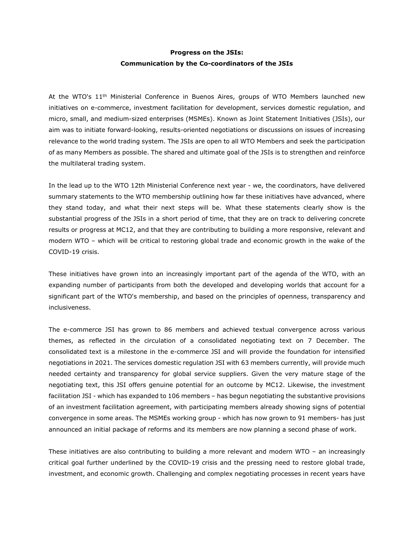# **Progress on the JSIs: Communication by the Co-coordinators of the JSIs**

At the WTO's 11<sup>th</sup> Ministerial Conference in Buenos Aires, groups of WTO Members launched new initiatives on e-commerce, investment facilitation for development, services domestic regulation, and micro, small, and medium-sized enterprises (MSMEs). Known as Joint Statement Initiatives (JSIs), our aim was to initiate forward-looking, results-oriented negotiations or discussions on issues of increasing relevance to the world trading system. The JSIs are open to all WTO Members and seek the participation of as many Members as possible. The shared and ultimate goal of the JSIs is to strengthen and reinforce the multilateral trading system.

In the lead up to the WTO 12th Ministerial Conference next year - we, the coordinators, have delivered summary statements to the WTO membership outlining how far these initiatives have advanced, where they stand today, and what their next steps will be. What these statements clearly show is the substantial progress of the JSIs in a short period of time, that they are on track to delivering concrete results or progress at MC12, and that they are contributing to building a more responsive, relevant and modern WTO – which will be critical to restoring global trade and economic growth in the wake of the COVID-19 crisis.

These initiatives have grown into an increasingly important part of the agenda of the WTO, with an expanding number of participants from both the developed and developing worlds that account for a significant part of the WTO's membership, and based on the principles of openness, transparency and inclusiveness.

The e-commerce JSI has grown to 86 members and achieved textual convergence across various themes, as reflected in the circulation of a consolidated negotiating text on 7 December. The consolidated text is a milestone in the e-commerce JSI and will provide the foundation for intensified negotiations in 2021. The services domestic regulation JSI with 63 members currently, will provide much needed certainty and transparency for global service suppliers. Given the very mature stage of the negotiating text, this JSI offers genuine potential for an outcome by MC12. Likewise, the investment facilitation JSI - which has expanded to 106 members – has begun negotiating the substantive provisions of an investment facilitation agreement, with participating members already showing signs of potential convergence in some areas. The MSMEs working group - which has now grown to 91 members- has just announced an initial package of reforms and its members are now planning a second phase of work.

These initiatives are also contributing to building a more relevant and modern WTO – an increasingly critical goal further underlined by the COVID-19 crisis and the pressing need to restore global trade, investment, and economic growth. Challenging and complex negotiating processes in recent years have